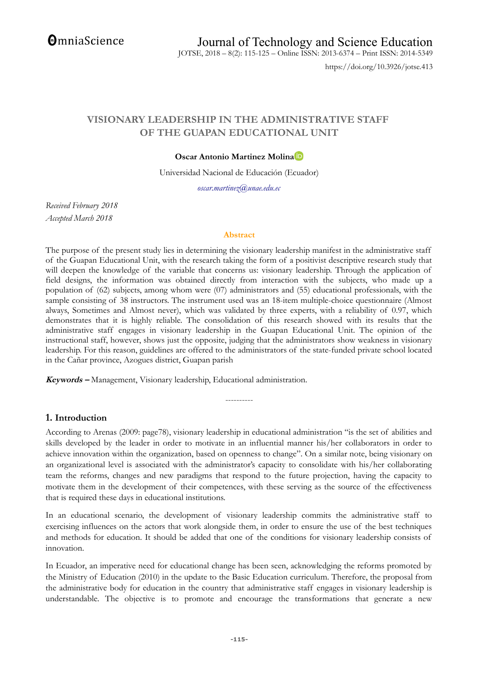

https://doi.org/10.3926/jotse.413

# **VISIONARY LEADERSHIP IN THE ADMINISTRATIVE STAFF OF THE GUAPAN EDUCATIONAL UNIT**

#### **Oscar Antonio Martinez Molin[a](https://orcid.org/0000-0003-1123-5553)**

Universidad Nacional de Educación (Ecuador)

*oscar.martinez@unae.edu.ec*

*Received February 2018 Accepted March 2018*

#### **Abstract**

The purpose of the present study lies in determining the visionary leadership manifest in the administrative staff of the Guapan Educational Unit, with the research taking the form of a positivist descriptive research study that will deepen the knowledge of the variable that concerns us: visionary leadership. Through the application of field designs, the information was obtained directly from interaction with the subjects, who made up a population of (62) subjects, among whom were (07) administrators and (55) educational professionals, with the sample consisting of 38 instructors. The instrument used was an 18-item multiple-choice questionnaire (Almost always, Sometimes and Almost never), which was validated by three experts, with a reliability of 0.97, which demonstrates that it is highly reliable. The consolidation of this research showed with its results that the administrative staff engages in visionary leadership in the Guapan Educational Unit. The opinion of the instructional staff, however, shows just the opposite, judging that the administrators show weakness in visionary leadership. For this reason, guidelines are offered to the administrators of the state-funded private school located in the Cañar province, Azogues district, Guapan parish

**Keywords –** Management, Visionary leadership, Educational administration.

### **1. Introduction**

According to Arenas (2009: page78), visionary leadership in educational administration "is the set of abilities and skills developed by the leader in order to motivate in an influential manner his/her collaborators in order to achieve innovation within the organization, based on openness to change". On a similar note, being visionary on an organizational level is associated with the administrator's capacity to consolidate with his/her collaborating team the reforms, changes and new paradigms that respond to the future projection, having the capacity to motivate them in the development of their competences, with these serving as the source of the effectiveness that is required these days in educational institutions.

----------

In an educational scenario, the development of visionary leadership commits the administrative staff to exercising influences on the actors that work alongside them, in order to ensure the use of the best techniques and methods for education. It should be added that one of the conditions for visionary leadership consists of innovation.

In Ecuador, an imperative need for educational change has been seen, acknowledging the reforms promoted by the Ministry of Education (2010) in the update to the Basic Education curriculum. Therefore, the proposal from the administrative body for education in the country that administrative staff engages in visionary leadership is understandable. The objective is to promote and encourage the transformations that generate a new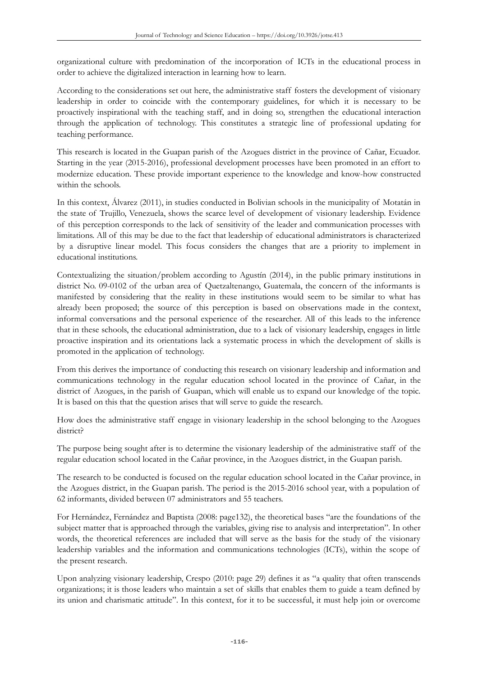organizational culture with predomination of the incorporation of ICTs in the educational process in order to achieve the digitalized interaction in learning how to learn.

According to the considerations set out here, the administrative staff fosters the development of visionary leadership in order to coincide with the contemporary guidelines, for which it is necessary to be proactively inspirational with the teaching staff, and in doing so, strengthen the educational interaction through the application of technology. This constitutes a strategic line of professional updating for teaching performance.

This research is located in the Guapan parish of the Azogues district in the province of Cañar, Ecuador. Starting in the year (2015-2016), professional development processes have been promoted in an effort to modernize education. These provide important experience to the knowledge and know-how constructed within the schools.

In this context, Álvarez (2011), in studies conducted in Bolivian schools in the municipality of Motatán in the state of Trujillo, Venezuela, shows the scarce level of development of visionary leadership. Evidence of this perception corresponds to the lack of sensitivity of the leader and communication processes with limitations. All of this may be due to the fact that leadership of educational administrators is characterized by a disruptive linear model. This focus considers the changes that are a priority to implement in educational institutions.

Contextualizing the situation/problem according to Agustín (2014), in the public primary institutions in district No. 09-0102 of the urban area of Quetzaltenango, Guatemala, the concern of the informants is manifested by considering that the reality in these institutions would seem to be similar to what has already been proposed; the source of this perception is based on observations made in the context, informal conversations and the personal experience of the researcher. All of this leads to the inference that in these schools, the educational administration, due to a lack of visionary leadership, engages in little proactive inspiration and its orientations lack a systematic process in which the development of skills is promoted in the application of technology.

From this derives the importance of conducting this research on visionary leadership and information and communications technology in the regular education school located in the province of Cañar, in the district of Azogues, in the parish of Guapan, which will enable us to expand our knowledge of the topic. It is based on this that the question arises that will serve to guide the research.

How does the administrative staff engage in visionary leadership in the school belonging to the Azogues district?

The purpose being sought after is to determine the visionary leadership of the administrative staff of the regular education school located in the Cañar province, in the Azogues district, in the Guapan parish.

The research to be conducted is focused on the regular education school located in the Cañar province, in the Azogues district, in the Guapan parish. The period is the 2015-2016 school year, with a population of 62 informants, divided between 07 administrators and 55 teachers.

For Hernández, Fernández and Baptista (2008: page132), the theoretical bases "are the foundations of the subject matter that is approached through the variables, giving rise to analysis and interpretation". In other words, the theoretical references are included that will serve as the basis for the study of the visionary leadership variables and the information and communications technologies (ICTs), within the scope of the present research.

Upon analyzing visionary leadership, Crespo (2010: page 29) defines it as "a quality that often transcends organizations; it is those leaders who maintain a set of skills that enables them to guide a team defined by its union and charismatic attitude". In this context, for it to be successful, it must help join or overcome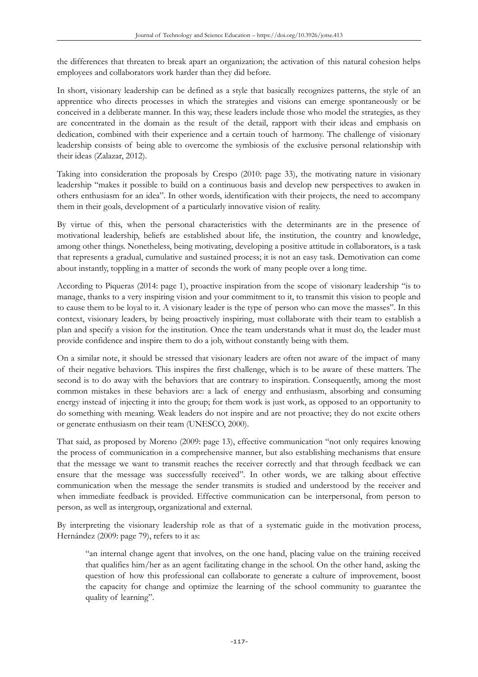the differences that threaten to break apart an organization; the activation of this natural cohesion helps employees and collaborators work harder than they did before.

In short, visionary leadership can be defined as a style that basically recognizes patterns, the style of an apprentice who directs processes in which the strategies and visions can emerge spontaneously or be conceived in a deliberate manner. In this way, these leaders include those who model the strategies, as they are concentrated in the domain as the result of the detail, rapport with their ideas and emphasis on dedication, combined with their experience and a certain touch of harmony. The challenge of visionary leadership consists of being able to overcome the symbiosis of the exclusive personal relationship with their ideas (Zalazar, 2012).

Taking into consideration the proposals by Crespo (2010: page 33), the motivating nature in visionary leadership "makes it possible to build on a continuous basis and develop new perspectives to awaken in others enthusiasm for an idea". In other words, identification with their projects, the need to accompany them in their goals, development of a particularly innovative vision of reality.

By virtue of this, when the personal characteristics with the determinants are in the presence of motivational leadership, beliefs are established about life, the institution, the country and knowledge, among other things. Nonetheless, being motivating, developing a positive attitude in collaborators, is a task that represents a gradual, cumulative and sustained process; it is not an easy task. Demotivation can come about instantly, toppling in a matter of seconds the work of many people over a long time.

According to Piqueras (2014: page 1), proactive inspiration from the scope of visionary leadership "is to manage, thanks to a very inspiring vision and your commitment to it, to transmit this vision to people and to cause them to be loyal to it. A visionary leader is the type of person who can move the masses". In this context, visionary leaders, by being proactively inspiring, must collaborate with their team to establish a plan and specify a vision for the institution. Once the team understands what it must do, the leader must provide confidence and inspire them to do a job, without constantly being with them.

On a similar note, it should be stressed that visionary leaders are often not aware of the impact of many of their negative behaviors. This inspires the first challenge, which is to be aware of these matters. The second is to do away with the behaviors that are contrary to inspiration. Consequently, among the most common mistakes in these behaviors are: a lack of energy and enthusiasm, absorbing and consuming energy instead of injecting it into the group; for them work is just work, as opposed to an opportunity to do something with meaning. Weak leaders do not inspire and are not proactive; they do not excite others or generate enthusiasm on their team (UNESCO, 2000).

That said, as proposed by Moreno (2009: page 13), effective communication "not only requires knowing the process of communication in a comprehensive manner, but also establishing mechanisms that ensure that the message we want to transmit reaches the receiver correctly and that through feedback we can ensure that the message was successfully received". In other words, we are talking about effective communication when the message the sender transmits is studied and understood by the receiver and when immediate feedback is provided. Effective communication can be interpersonal, from person to person, as well as intergroup, organizational and external.

By interpreting the visionary leadership role as that of a systematic guide in the motivation process, Hernández (2009: page 79), refers to it as:

"an internal change agent that involves, on the one hand, placing value on the training received that qualifies him/her as an agent facilitating change in the school. On the other hand, asking the question of how this professional can collaborate to generate a culture of improvement, boost the capacity for change and optimize the learning of the school community to guarantee the quality of learning".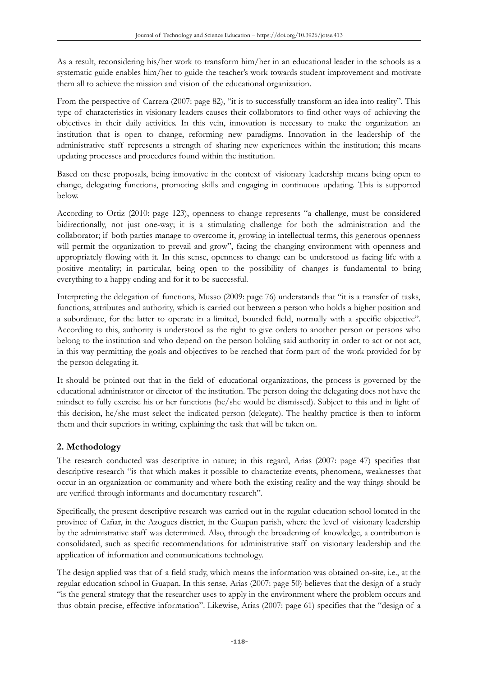As a result, reconsidering his/her work to transform him/her in an educational leader in the schools as a systematic guide enables him/her to guide the teacher's work towards student improvement and motivate them all to achieve the mission and vision of the educational organization.

From the perspective of Carrera (2007: page 82), "it is to successfully transform an idea into reality". This type of characteristics in visionary leaders causes their collaborators to find other ways of achieving the objectives in their daily activities. In this vein, innovation is necessary to make the organization an institution that is open to change, reforming new paradigms. Innovation in the leadership of the administrative staff represents a strength of sharing new experiences within the institution; this means updating processes and procedures found within the institution.

Based on these proposals, being innovative in the context of visionary leadership means being open to change, delegating functions, promoting skills and engaging in continuous updating. This is supported below.

According to Ortiz (2010: page 123), openness to change represents "a challenge, must be considered bidirectionally, not just one-way; it is a stimulating challenge for both the administration and the collaborator; if both parties manage to overcome it, growing in intellectual terms, this generous openness will permit the organization to prevail and grow", facing the changing environment with openness and appropriately flowing with it. In this sense, openness to change can be understood as facing life with a positive mentality; in particular, being open to the possibility of changes is fundamental to bring everything to a happy ending and for it to be successful.

Interpreting the delegation of functions, Musso (2009: page 76) understands that "it is a transfer of tasks, functions, attributes and authority, which is carried out between a person who holds a higher position and a subordinate, for the latter to operate in a limited, bounded field, normally with a specific objective". According to this, authority is understood as the right to give orders to another person or persons who belong to the institution and who depend on the person holding said authority in order to act or not act, in this way permitting the goals and objectives to be reached that form part of the work provided for by the person delegating it.

It should be pointed out that in the field of educational organizations, the process is governed by the educational administrator or director of the institution. The person doing the delegating does not have the mindset to fully exercise his or her functions (he/she would be dismissed). Subject to this and in light of this decision, he/she must select the indicated person (delegate). The healthy practice is then to inform them and their superiors in writing, explaining the task that will be taken on.

# **2. Methodology**

The research conducted was descriptive in nature; in this regard, Arias (2007: page 47) specifies that descriptive research "is that which makes it possible to characterize events, phenomena, weaknesses that occur in an organization or community and where both the existing reality and the way things should be are verified through informants and documentary research".

Specifically, the present descriptive research was carried out in the regular education school located in the province of Cañar, in the Azogues district, in the Guapan parish, where the level of visionary leadership by the administrative staff was determined. Also, through the broadening of knowledge, a contribution is consolidated, such as specific recommendations for administrative staff on visionary leadership and the application of information and communications technology.

The design applied was that of a field study, which means the information was obtained on-site, i.e., at the regular education school in Guapan. In this sense, Arias (2007: page 50) believes that the design of a study "is the general strategy that the researcher uses to apply in the environment where the problem occurs and thus obtain precise, effective information". Likewise, Arias (2007: page 61) specifies that the "design of a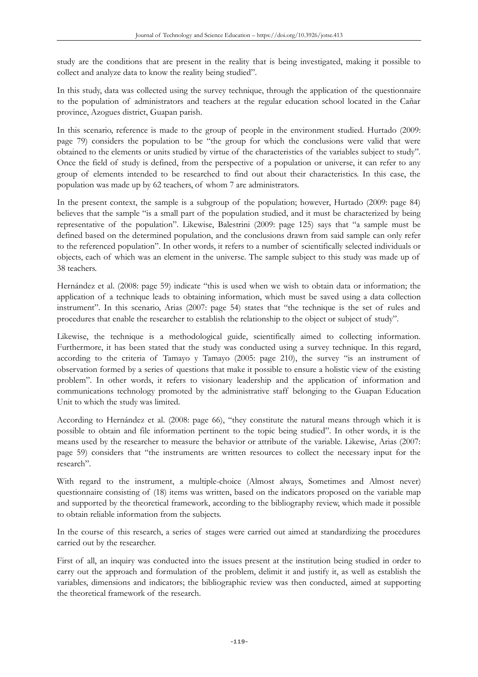study are the conditions that are present in the reality that is being investigated, making it possible to collect and analyze data to know the reality being studied".

In this study, data was collected using the survey technique, through the application of the questionnaire to the population of administrators and teachers at the regular education school located in the Cañar province, Azogues district, Guapan parish.

In this scenario, reference is made to the group of people in the environment studied. Hurtado (2009: page 79) considers the population to be "the group for which the conclusions were valid that were obtained to the elements or units studied by virtue of the characteristics of the variables subject to study". Once the field of study is defined, from the perspective of a population or universe, it can refer to any group of elements intended to be researched to find out about their characteristics. In this case, the population was made up by 62 teachers, of whom 7 are administrators.

In the present context, the sample is a subgroup of the population; however, Hurtado (2009: page 84) believes that the sample "is a small part of the population studied, and it must be characterized by being representative of the population". Likewise, Balestrini (2009: page 125) says that "a sample must be defined based on the determined population, and the conclusions drawn from said sample can only refer to the referenced population". In other words, it refers to a number of scientifically selected individuals or objects, each of which was an element in the universe. The sample subject to this study was made up of 38 teachers.

Hernández et al. (2008: page 59) indicate "this is used when we wish to obtain data or information; the application of a technique leads to obtaining information, which must be saved using a data collection instrument". In this scenario, Arias (2007: page 54) states that "the technique is the set of rules and procedures that enable the researcher to establish the relationship to the object or subject of study".

Likewise, the technique is a methodological guide, scientifically aimed to collecting information. Furthermore, it has been stated that the study was conducted using a survey technique. In this regard, according to the criteria of Tamayo y Tamayo (2005: page 210), the survey "is an instrument of observation formed by a series of questions that make it possible to ensure a holistic view of the existing problem". In other words, it refers to visionary leadership and the application of information and communications technology promoted by the administrative staff belonging to the Guapan Education Unit to which the study was limited.

According to Hernández et al. (2008: page 66), "they constitute the natural means through which it is possible to obtain and file information pertinent to the topic being studied". In other words, it is the means used by the researcher to measure the behavior or attribute of the variable. Likewise, Arias (2007: page 59) considers that "the instruments are written resources to collect the necessary input for the research".

With regard to the instrument, a multiple-choice (Almost always, Sometimes and Almost never) questionnaire consisting of (18) items was written, based on the indicators proposed on the variable map and supported by the theoretical framework, according to the bibliography review, which made it possible to obtain reliable information from the subjects.

In the course of this research, a series of stages were carried out aimed at standardizing the procedures carried out by the researcher.

First of all, an inquiry was conducted into the issues present at the institution being studied in order to carry out the approach and formulation of the problem, delimit it and justify it, as well as establish the variables, dimensions and indicators; the bibliographic review was then conducted, aimed at supporting the theoretical framework of the research.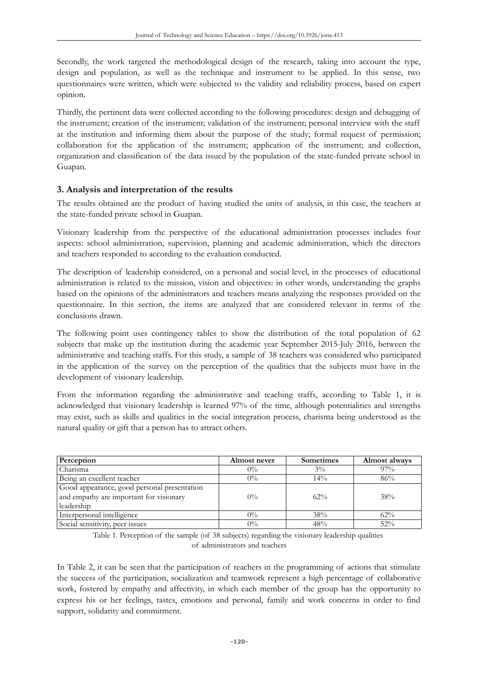Secondly, the work targeted the methodological design of the research, taking into account the type, design and population, as well as the technique and instrument to be applied. In this sense, two questionnaires were written, which were subjected to the validity and reliability process, based on expert opinion.

Thirdly, the pertinent data were collected according to the following procedures: design and debugging of the instrument; creation of the instrument; validation of the instrument; personal interview with the staff at the institution and informing them about the purpose of the study; formal request of permission; collaboration for the application of the instrument; application of the instrument; and collection, organization and classification of the data issued by the population of the state-funded private school in Guapan.

### **3. Analysis and interpretation of the results**

The results obtained are the product of having studied the units of analysis, in this case, the teachers at the state-funded private school in Guapan.

Visionary leadership from the perspective of the educational administration processes includes four aspects: school administration, supervision, planning and academic administration, which the directors and teachers responded to according to the evaluation conducted.

The description of leadership considered, on a personal and social level, in the processes of educational administration is related to the mission, vision and objectives: in other words, understanding the graphs based on the opinions of the administrators and teachers means analyzing the responses provided on the questionnaire. In this section, the items are analyzed that are considered relevant in terms of the conclusions drawn.

The following point uses contingency tables to show the distribution of the total population of 62 subjects that make up the institution during the academic year September 2015-July 2016, between the administrative and teaching staffs. For this study, a sample of 38 teachers was considered who participated in the application of the survey on the perception of the qualities that the subjects must have in the development of visionary leadership.

From the information regarding the administrative and teaching staffs, according to Table 1, it is acknowledged that visionary leadership is learned 97% of the time, although potentialities and strengths may exist, such as skills and qualities in the social integration process, charisma being understood as the natural quality or gift that a person has to attract others.

| Perception                                  | Almost never | <b>Sometimes</b> | Almost always |
|---------------------------------------------|--------------|------------------|---------------|
| Charisma                                    | $0\%$        | $3\%$            | $97\%$        |
| Being an excellent teacher                  | $0\%$        | 14%              | 86%           |
| Good appearance, good personal presentation |              |                  |               |
| and empathy are important for visionary     | $0\%$        | $62\%$           | 38%           |
| leadership                                  |              |                  |               |
| Interpersonal intelligence                  | $0\%$        | 38%              | 62%           |
| Social sensitivity, peer issues             | $0\%$        | 48%              | 52%           |

Table 1. Perception of the sample (of 38 subjects) regarding the visionary leadership qualities of administrators and teachers

In Table 2, it can be seen that the participation of teachers in the programming of actions that stimulate the success of the participation, socialization and teamwork represent a high percentage of collaborative work, fostered by empathy and affectivity, in which each member of the group has the opportunity to express his or her feelings, tastes, emotions and personal, family and work concerns in order to find support, solidarity and commitment.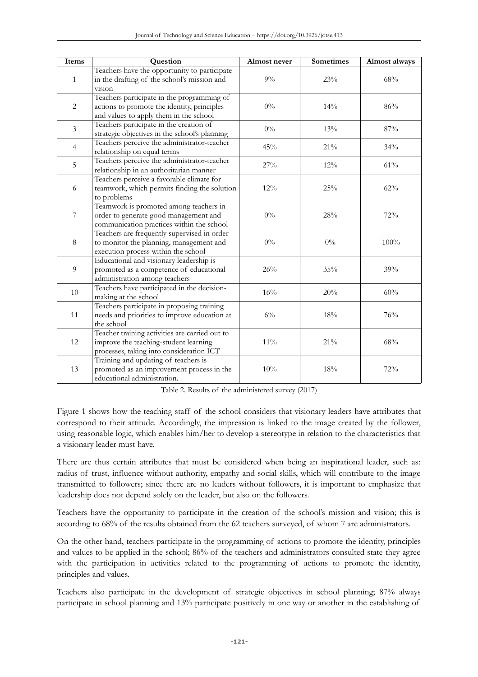| Items          | Question                                       | Almost never | <b>Sometimes</b> | Almost always |
|----------------|------------------------------------------------|--------------|------------------|---------------|
| $\mathbf{1}$   | Teachers have the opportunity to participate   | $9\%$        | 23%              | 68%           |
|                | in the drafting of the school's mission and    |              |                  |               |
|                | vision                                         |              |                  |               |
| $\overline{2}$ | Teachers participate in the programming of     | $0\%$        | 14%              | 86%           |
|                | actions to promote the identity, principles    |              |                  |               |
|                | and values to apply them in the school         |              |                  |               |
| $\overline{3}$ | Teachers participate in the creation of        | $0\%$        | 13%              | 87%           |
|                | strategic objectives in the school's planning  |              |                  |               |
| $\overline{4}$ | Teachers perceive the administrator-teacher    | 45%          | 21%              | 34%           |
|                | relationship on equal terms                    |              |                  |               |
| 5              | Teachers perceive the administrator-teacher    | 27%          | 12%              | 61%           |
|                | relationship in an authoritarian manner        |              |                  |               |
| 6              | Teachers perceive a favorable climate for      | 12%          | 25%              | 62%           |
|                | teamwork, which permits finding the solution   |              |                  |               |
|                | to problems                                    |              |                  |               |
| $\overline{7}$ | Teamwork is promoted among teachers in         | $0\%$        | 28%              | 72%           |
|                | order to generate good management and          |              |                  |               |
|                | communication practices within the school      |              |                  |               |
| 8              | Teachers are frequently supervised in order    | $0\%$        | $0\%$            | 100%          |
|                | to monitor the planning, management and        |              |                  |               |
|                | execution process within the school            |              |                  |               |
| 9              | Educational and visionary leadership is        | 26%          | 35%              | 39%           |
|                | promoted as a competence of educational        |              |                  |               |
|                | administration among teachers                  |              |                  |               |
| 10             | Teachers have participated in the decision-    | 16%          | 20%              | 60%           |
|                | making at the school                           |              |                  |               |
| 11             | Teachers participate in proposing training     | $6\%$        | 18%              | 76%           |
|                | needs and priorities to improve education at   |              |                  |               |
|                | the school                                     |              |                  |               |
| 12             | Teacher training activities are carried out to |              | $21\%$           | 68%           |
|                | improve the teaching-student learning          | $11\%$       |                  |               |
|                | processes, taking into consideration ICT       |              |                  |               |
| 13             | Training and updating of teachers is           | 10%          | 18%              | 72%           |
|                | promoted as an improvement process in the      |              |                  |               |
|                | educational administration.                    |              |                  |               |

Table 2. Results of the administered survey (2017)

Figure 1 shows how the teaching staff of the school considers that visionary leaders have attributes that correspond to their attitude. Accordingly, the impression is linked to the image created by the follower, using reasonable logic, which enables him/her to develop a stereotype in relation to the characteristics that a visionary leader must have.

There are thus certain attributes that must be considered when being an inspirational leader, such as: radius of trust, influence without authority, empathy and social skills, which will contribute to the image transmitted to followers; since there are no leaders without followers, it is important to emphasize that leadership does not depend solely on the leader, but also on the followers.

Teachers have the opportunity to participate in the creation of the school's mission and vision; this is according to 68% of the results obtained from the 62 teachers surveyed, of whom 7 are administrators.

On the other hand, teachers participate in the programming of actions to promote the identity, principles and values to be applied in the school; 86% of the teachers and administrators consulted state they agree with the participation in activities related to the programming of actions to promote the identity, principles and values.

Teachers also participate in the development of strategic objectives in school planning; 87% always participate in school planning and 13% participate positively in one way or another in the establishing of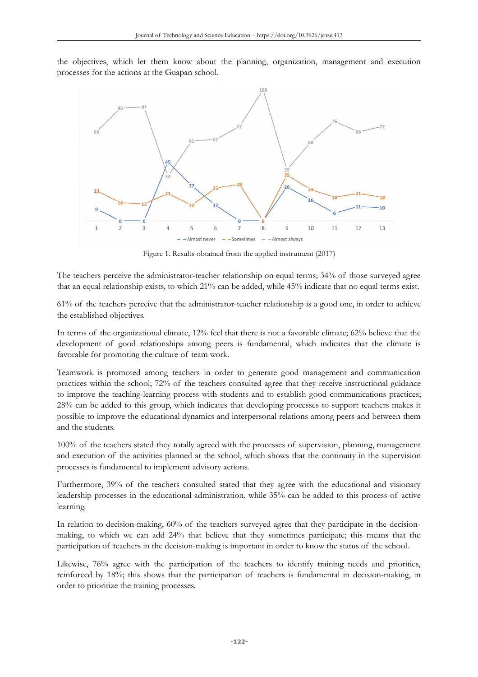the objectives, which let them know about the planning, organization, management and execution processes for the actions at the Guapan school.



Figure 1. Results obtained from the applied instrument (2017)

The teachers perceive the administrator-teacher relationship on equal terms; 34% of those surveyed agree that an equal relationship exists, to which 21% can be added, while 45% indicate that no equal terms exist.

61% of the teachers perceive that the administrator-teacher relationship is a good one, in order to achieve the established objectives.

In terms of the organizational climate, 12% feel that there is not a favorable climate; 62% believe that the development of good relationships among peers is fundamental, which indicates that the climate is favorable for promoting the culture of team work.

Teamwork is promoted among teachers in order to generate good management and communication practices within the school; 72% of the teachers consulted agree that they receive instructional guidance to improve the teaching-learning process with students and to establish good communications practices; 28% can be added to this group, which indicates that developing processes to support teachers makes it possible to improve the educational dynamics and interpersonal relations among peers and between them and the students.

100% of the teachers stated they totally agreed with the processes of supervision, planning, management and execution of the activities planned at the school, which shows that the continuity in the supervision processes is fundamental to implement advisory actions.

Furthermore, 39% of the teachers consulted stated that they agree with the educational and visionary leadership processes in the educational administration, while 35% can be added to this process of active learning.

In relation to decision-making, 60% of the teachers surveyed agree that they participate in the decisionmaking, to which we can add 24% that believe that they sometimes participate; this means that the participation of teachers in the decision-making is important in order to know the status of the school.

Likewise, 76% agree with the participation of the teachers to identify training needs and priorities, reinforced by 18%; this shows that the participation of teachers is fundamental in decision-making, in order to prioritize the training processes.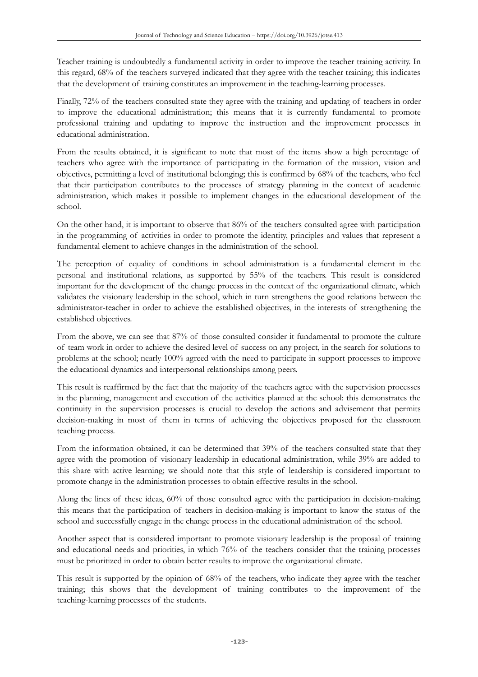Teacher training is undoubtedly a fundamental activity in order to improve the teacher training activity. In this regard, 68% of the teachers surveyed indicated that they agree with the teacher training; this indicates that the development of training constitutes an improvement in the teaching-learning processes.

Finally, 72% of the teachers consulted state they agree with the training and updating of teachers in order to improve the educational administration; this means that it is currently fundamental to promote professional training and updating to improve the instruction and the improvement processes in educational administration.

From the results obtained, it is significant to note that most of the items show a high percentage of teachers who agree with the importance of participating in the formation of the mission, vision and objectives, permitting a level of institutional belonging; this is confirmed by 68% of the teachers, who feel that their participation contributes to the processes of strategy planning in the context of academic administration, which makes it possible to implement changes in the educational development of the school.

On the other hand, it is important to observe that 86% of the teachers consulted agree with participation in the programming of activities in order to promote the identity, principles and values that represent a fundamental element to achieve changes in the administration of the school.

The perception of equality of conditions in school administration is a fundamental element in the personal and institutional relations, as supported by 55% of the teachers. This result is considered important for the development of the change process in the context of the organizational climate, which validates the visionary leadership in the school, which in turn strengthens the good relations between the administrator-teacher in order to achieve the established objectives, in the interests of strengthening the established objectives.

From the above, we can see that 87% of those consulted consider it fundamental to promote the culture of team work in order to achieve the desired level of success on any project, in the search for solutions to problems at the school; nearly 100% agreed with the need to participate in support processes to improve the educational dynamics and interpersonal relationships among peers.

This result is reaffirmed by the fact that the majority of the teachers agree with the supervision processes in the planning, management and execution of the activities planned at the school: this demonstrates the continuity in the supervision processes is crucial to develop the actions and advisement that permits decision-making in most of them in terms of achieving the objectives proposed for the classroom teaching process.

From the information obtained, it can be determined that 39% of the teachers consulted state that they agree with the promotion of visionary leadership in educational administration, while 39% are added to this share with active learning; we should note that this style of leadership is considered important to promote change in the administration processes to obtain effective results in the school.

Along the lines of these ideas, 60% of those consulted agree with the participation in decision-making; this means that the participation of teachers in decision-making is important to know the status of the school and successfully engage in the change process in the educational administration of the school.

Another aspect that is considered important to promote visionary leadership is the proposal of training and educational needs and priorities, in which 76% of the teachers consider that the training processes must be prioritized in order to obtain better results to improve the organizational climate.

This result is supported by the opinion of 68% of the teachers, who indicate they agree with the teacher training; this shows that the development of training contributes to the improvement of the teaching-learning processes of the students.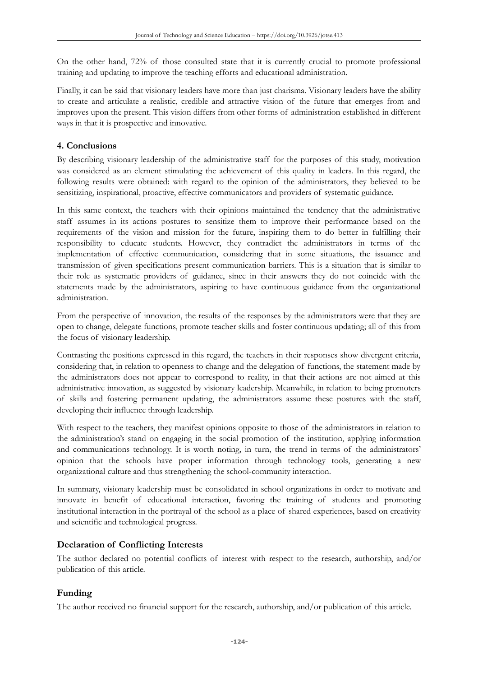On the other hand, 72% of those consulted state that it is currently crucial to promote professional training and updating to improve the teaching efforts and educational administration.

Finally, it can be said that visionary leaders have more than just charisma. Visionary leaders have the ability to create and articulate a realistic, credible and attractive vision of the future that emerges from and improves upon the present. This vision differs from other forms of administration established in different ways in that it is prospective and innovative.

## **4. Conclusions**

By describing visionary leadership of the administrative staff for the purposes of this study, motivation was considered as an element stimulating the achievement of this quality in leaders. In this regard, the following results were obtained: with regard to the opinion of the administrators, they believed to be sensitizing, inspirational, proactive, effective communicators and providers of systematic guidance.

In this same context, the teachers with their opinions maintained the tendency that the administrative staff assumes in its actions postures to sensitize them to improve their performance based on the requirements of the vision and mission for the future, inspiring them to do better in fulfilling their responsibility to educate students. However, they contradict the administrators in terms of the implementation of effective communication, considering that in some situations, the issuance and transmission of given specifications present communication barriers. This is a situation that is similar to their role as systematic providers of guidance, since in their answers they do not coincide with the statements made by the administrators, aspiring to have continuous guidance from the organizational administration.

From the perspective of innovation, the results of the responses by the administrators were that they are open to change, delegate functions, promote teacher skills and foster continuous updating; all of this from the focus of visionary leadership.

Contrasting the positions expressed in this regard, the teachers in their responses show divergent criteria, considering that, in relation to openness to change and the delegation of functions, the statement made by the administrators does not appear to correspond to reality, in that their actions are not aimed at this administrative innovation, as suggested by visionary leadership. Meanwhile, in relation to being promoters of skills and fostering permanent updating, the administrators assume these postures with the staff, developing their influence through leadership.

With respect to the teachers, they manifest opinions opposite to those of the administrators in relation to the administration's stand on engaging in the social promotion of the institution, applying information and communications technology. It is worth noting, in turn, the trend in terms of the administrators' opinion that the schools have proper information through technology tools, generating a new organizational culture and thus strengthening the school-community interaction.

In summary, visionary leadership must be consolidated in school organizations in order to motivate and innovate in benefit of educational interaction, favoring the training of students and promoting institutional interaction in the portrayal of the school as a place of shared experiences, based on creativity and scientific and technological progress.

# **Declaration of Conflicting Interests**

The author declared no potential conflicts of interest with respect to the research, authorship, and/or publication of this article.

# **Funding**

The author received no financial support for the research, authorship, and/or publication of this article.